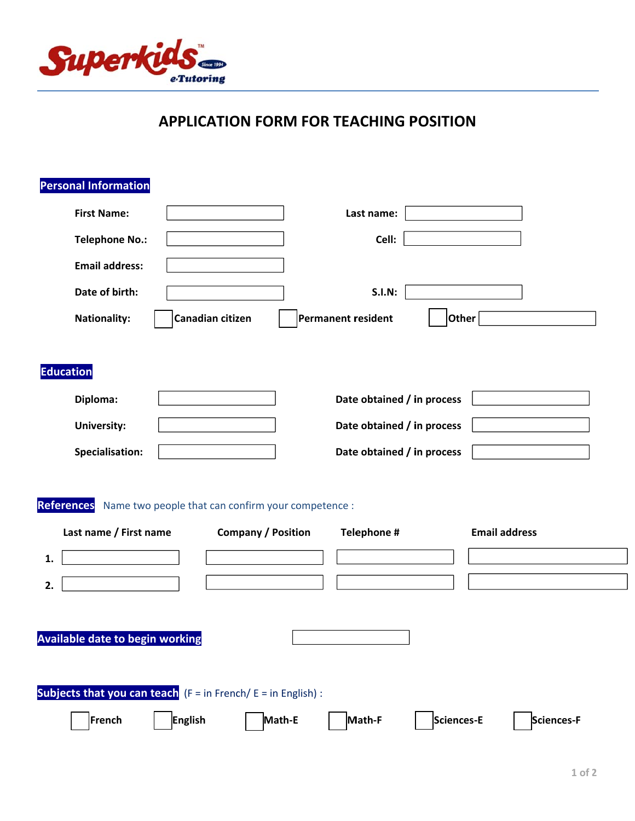

## **APPLICATION FORM FOR TEACHING POSITION**

| <b>Personal Information</b>                                                         |                                                                                 |                                     |                      |
|-------------------------------------------------------------------------------------|---------------------------------------------------------------------------------|-------------------------------------|----------------------|
| <b>First Name:</b>                                                                  |                                                                                 | Last name:                          |                      |
| <b>Telephone No.:</b>                                                               |                                                                                 | Cell:                               |                      |
| <b>Email address:</b>                                                               |                                                                                 |                                     |                      |
| Date of birth:                                                                      |                                                                                 | <b>S.I.N:</b>                       |                      |
| <b>Nationality:</b>                                                                 | Canadian citizen                                                                | Permanent resident<br>$ $ Other $ $ |                      |
|                                                                                     |                                                                                 |                                     |                      |
| <b>Education</b>                                                                    |                                                                                 |                                     |                      |
| Diploma:                                                                            |                                                                                 | Date obtained / in process          |                      |
| <b>University:</b>                                                                  |                                                                                 | Date obtained / in process          |                      |
| Specialisation:                                                                     |                                                                                 | Date obtained / in process          |                      |
| <b>References</b><br>Last name / First name                                         | Name two people that can confirm your competence :<br><b>Company / Position</b> | Telephone #                         | <b>Email address</b> |
| 1.                                                                                  |                                                                                 |                                     |                      |
| 2.                                                                                  |                                                                                 |                                     |                      |
|                                                                                     |                                                                                 |                                     |                      |
| <b>Available date to begin working</b>                                              |                                                                                 |                                     |                      |
|                                                                                     |                                                                                 |                                     |                      |
| <b>Subjects that you can teach</b> $(F = \text{in French}/E = \text{in English})$ : |                                                                                 |                                     |                      |